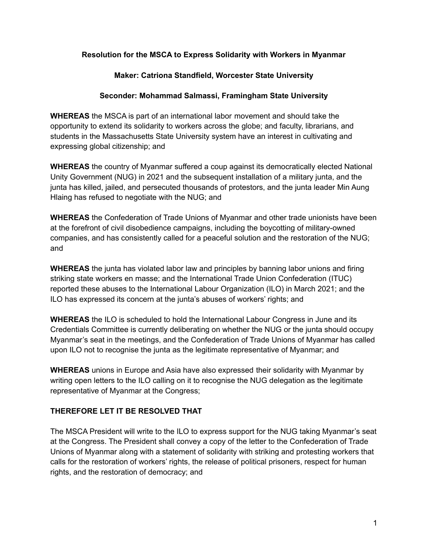## **Resolution for the MSCA to Express Solidarity with Workers in Myanmar**

## **Maker: Catriona Standfield, Worcester State University**

## **Seconder: Mohammad Salmassi, Framingham State University**

**WHEREAS** the MSCA is part of an international labor movement and should take the opportunity to extend its solidarity to workers across the globe; and faculty, librarians, and students in the Massachusetts State University system have an interest in cultivating and expressing global citizenship; and

**WHEREAS** the country of Myanmar suffered a coup against its democratically elected National Unity Government (NUG) in 2021 and the subsequent installation of a military junta, and the junta has killed, jailed, and persecuted thousands of protestors, and the junta leader Min Aung Hlaing has refused to negotiate with the NUG; and

**WHEREAS** the Confederation of Trade Unions of Myanmar and other trade unionists have been at the forefront of civil disobedience campaigns, including the boycotting of military-owned companies, and has consistently called for a peaceful solution and the restoration of the NUG; and

**WHEREAS** the junta has violated labor law and principles by banning labor unions and firing striking state workers en masse; and the International Trade Union Confederation (ITUC) reported these abuses to the International Labour Organization (ILO) in March 2021; and the ILO has expressed its concern at the junta's abuses of workers' rights; and

**WHEREAS** the ILO is scheduled to hold the International Labour Congress in June and its Credentials Committee is currently deliberating on whether the NUG or the junta should occupy Myanmar's seat in the meetings, and the Confederation of Trade Unions of Myanmar has called upon ILO not to recognise the junta as the legitimate representative of Myanmar; and

**WHEREAS** unions in Europe and Asia have also expressed their solidarity with Myanmar by writing open letters to the ILO calling on it to recognise the NUG delegation as the legitimate representative of Myanmar at the Congress;

## **THEREFORE LET IT BE RESOLVED THAT**

The MSCA President will write to the ILO to express support for the NUG taking Myanmar's seat at the Congress. The President shall convey a copy of the letter to the Confederation of Trade Unions of Myanmar along with a statement of solidarity with striking and protesting workers that calls for the restoration of workers' rights, the release of political prisoners, respect for human rights, and the restoration of democracy; and